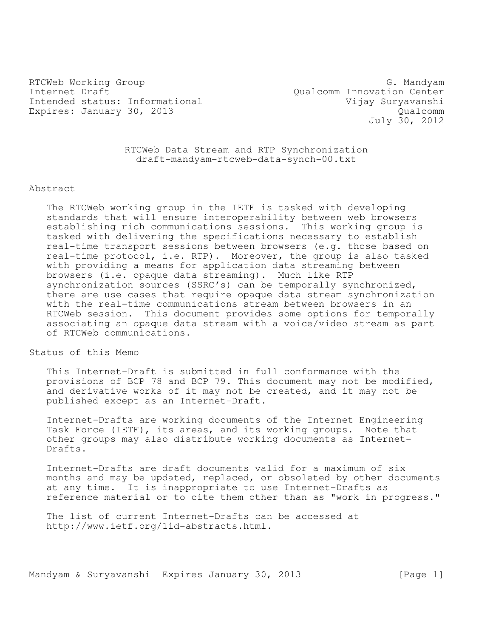RTCWeb Working Group G. Mandyam G. Mandyam G. Mandyam G. Mandyam G. Mandyam G. Mandyam G. Mandyam G. Mandyam G. Mandyam G. S. Mandyam G. Mandyam G. Mandyam G. Mandyam G. Mandyam G. Mandyam G. Mandyam G. Mandyam G. Mandyam Internet Draft<br>
Intended status: Informational Qualcomm Innovation Center<br>
Vijay Suryavanshi Intended status: Informational Expires: January 30, 2013 Cualcomm

July 30, 2012

RTCWeb Data Stream and RTP Synchronization draft-mandyam-rtcweb-data-synch-00.txt

#### Abstract

The RTCWeb working group in the IETF is tasked with developing standards that will ensure interoperability between web browsers establishing rich communications sessions. This working group is tasked with delivering the specifications necessary to establish real-time transport sessions between browsers (e.g. those based on real-time protocol, i.e. RTP). Moreover, the group is also tasked with providing a means for application data streaming between browsers (i.e. opaque data streaming). Much like RTP synchronization sources (SSRC's) can be temporally synchronized, there are use cases that require opaque data stream synchronization with the real-time communications stream between browsers in an RTCWeb session. This document provides some options for temporally associating an opaque data stream with a voice/video stream as part of RTCWeb communications.

Status of this Memo

This Internet-Draft is submitted in full conformance with the provisions of BCP 78 and BCP 79. This document may not be modified, and derivative works of it may not be created, and it may not be published except as an Internet-Draft.

Internet-Drafts are working documents of the Internet Engineering Task Force (IETF), its areas, and its working groups. Note that other groups may also distribute working documents as Internet-Drafts.

Internet-Drafts are draft documents valid for a maximum of six months and may be updated, replaced, or obsoleted by other documents at any time. It is inappropriate to use Internet-Drafts as reference material or to cite them other than as "work in progress."

The list of current Internet-Drafts can be accessed at http://www.ietf.org/1id-abstracts.html.

Mandyam & Suryavanshi Expires January 30, 2013 [Page 1]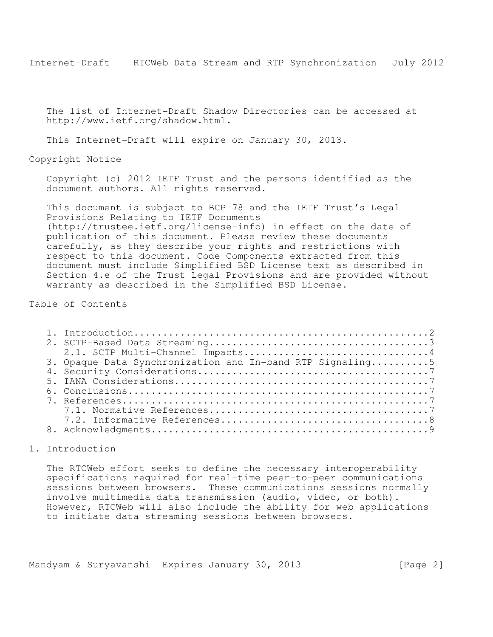The list of Internet-Draft Shadow Directories can be accessed at http://www.ietf.org/shadow.html.

This Internet-Draft will expire on January 30, 2013.

Copyright Notice

Copyright (c) 2012 IETF Trust and the persons identified as the document authors. All rights reserved.

This document is subject to BCP 78 and the IETF Trust's Legal Provisions Relating to IETF Documents (http://trustee.ietf.org/license-info) in effect on the date of publication of this document. Please review these documents carefully, as they describe your rights and restrictions with respect to this document. Code Components extracted from this document must include Simplified BSD License text as described in Section 4.e of the Trust Legal Provisions and are provided without warranty as described in the Simplified BSD License.

Table of Contents

| 2.1. SCTP Multi-Channel Impacts4                          |  |
|-----------------------------------------------------------|--|
| 3. Opaque Data Synchronization and In-band RTP Signaling5 |  |
|                                                           |  |
|                                                           |  |
|                                                           |  |
|                                                           |  |
|                                                           |  |
|                                                           |  |
|                                                           |  |

# 1. Introduction

The RTCWeb effort seeks to define the necessary interoperability specifications required for real-time peer-to-peer communications sessions between browsers. These communications sessions normally involve multimedia data transmission (audio, video, or both). However, RTCWeb will also include the ability for web applications to initiate data streaming sessions between browsers.

Mandyam & Suryavanshi Expires January 30, 2013 [Page 2]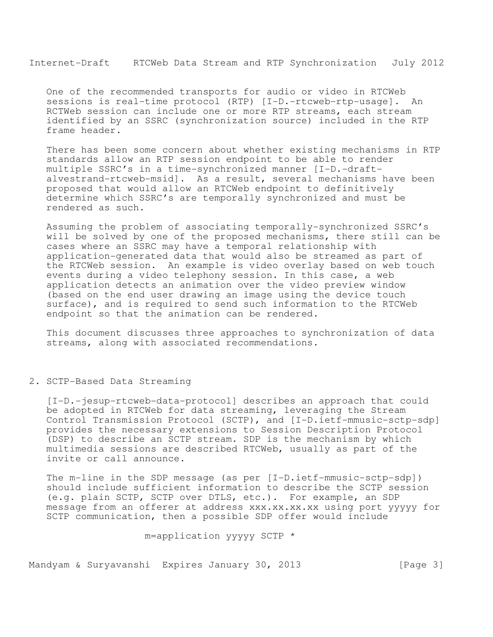One of the recommended transports for audio or video in RTCWeb sessions is real-time protocol (RTP) [I-D.-rtcweb-rtp-usage]. An RCTWeb session can include one or more RTP streams, each stream identified by an SSRC (synchronization source) included in the RTP frame header.

There has been some concern about whether existing mechanisms in RTP standards allow an RTP session endpoint to be able to render multiple SSRC's in a time-synchronized manner [I-D.-draftalvestrand-rtcweb-msid]. As a result, several mechanisms have been proposed that would allow an RTCWeb endpoint to definitively determine which SSRC's are temporally synchronized and must be rendered as such.

Assuming the problem of associating temporally-synchronized SSRC's will be solved by one of the proposed mechanisms, there still can be cases where an SSRC may have a temporal relationship with application-generated data that would also be streamed as part of the RTCWeb session. An example is video overlay based on web touch events during a video telephony session. In this case, a web application detects an animation over the video preview window (based on the end user drawing an image using the device touch surface), and is required to send such information to the RTCWeb endpoint so that the animation can be rendered.

This document discusses three approaches to synchronization of data streams, along with associated recommendations.

## 2. SCTP-Based Data Streaming

[I-D.-jesup-rtcweb-data-protocol] describes an approach that could be adopted in RTCWeb for data streaming, leveraging the Stream Control Transmission Protocol (SCTP), and [I-D.ietf-mmusic-sctp-sdp] provides the necessary extensions to Session Description Protocol (DSP) to describe an SCTP stream. SDP is the mechanism by which multimedia sessions are described RTCWeb, usually as part of the invite or call announce.

The m-line in the SDP message (as per [I-D.ietf-mmusic-sctp-sdp]) should include sufficient information to describe the SCTP session (e.g. plain SCTP, SCTP over DTLS, etc.). For example, an SDP message from an offerer at address xxx.xx.xx.xx using port yyyyy for SCTP communication, then a possible SDP offer would include

m=application yyyyy SCTP \*

Mandyam & Suryavanshi Expires January 30, 2013 [Page 3]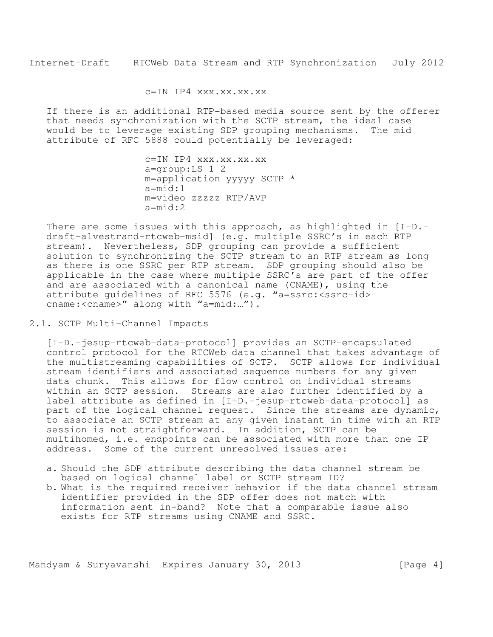c=IN IP4 xxx.xx.xx.xx

If there is an additional RTP-based media source sent by the offerer that needs synchronization with the SCTP stream, the ideal case would be to leverage existing SDP grouping mechanisms. The mid attribute of RFC 5888 could potentially be leveraged:

> c=IN IP4 xxx.xx.xx.xx a=group:LS 1 2 m=application yyyyy SCTP \* a=mid:1 m=video zzzzz RTP/AVP a=mid:2

There are some issues with this approach, as highlighted in  $[I-D,-]$ draft-alvestrand-rtcweb-msid] (e.g. multiple SSRC's in each RTP stream). Nevertheless, SDP grouping can provide a sufficient solution to synchronizing the SCTP stream to an RTP stream as long as there is one SSRC per RTP stream. SDP grouping should also be applicable in the case where multiple SSRC's are part of the offer and are associated with a canonical name (CNAME), using the attribute quidelines of RFC 5576 (e.g. "a=ssrc: <ssrc-id> cname:<cname>" along with "a=mid:...").

2.1. SCTP Multi-Channel Impacts

[I-D.-jesup-rtcweb-data-protocol] provides an SCTP-encapsulated control protocol for the RTCWeb data channel that takes advantage of the multistreaming capabilities of SCTP. SCTP allows for individual stream identifiers and associated sequence numbers for any given data chunk. This allows for flow control on individual streams within an SCTP session. Streams are also further identified by a label attribute as defined in [I-D.-jesup-rtcweb-data-protocol] as part of the logical channel request. Since the streams are dynamic, to associate an SCTP stream at any given instant in time with an RTP session is not straightforward. In addition, SCTP can be multihomed, i.e. endpoints can be associated with more than one IP address. Some of the current unresolved issues are:

- a. Should the SDP attribute describing the data channel stream be based on logical channel label or SCTP stream ID?
- b. What is the required receiver behavior if the data channel stream identifier provided in the SDP offer does not match with information sent in-band? Note that a comparable issue also exists for RTP streams using CNAME and SSRC.

Mandyam & Suryavanshi Expires January 30, 2013 [Page 4]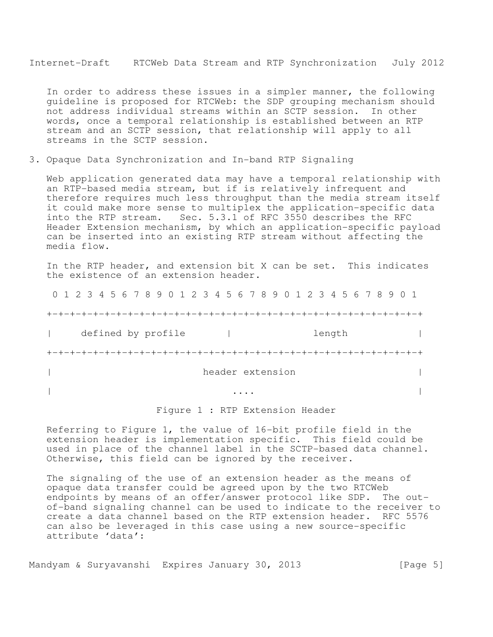In order to address these issues in a simpler manner, the following guideline is proposed for RTCWeb: the SDP grouping mechanism should not address individual streams within an SCTP session. In other words, once a temporal relationship is established between an RTP stream and an SCTP session, that relationship will apply to all streams in the SCTP session.

3. Opaque Data Synchronization and In-band RTP Signaling

Web application generated data may have a temporal relationship with an RTP-based media stream, but if is relatively infrequent and therefore requires much less throughput than the media stream itself it could make more sense to multiplex the application-specific data into the RTP stream. Sec. 5.3.1 of RFC 3550 describes the RFC Header Extension mechanism, by which an application-specific payload can be inserted into an existing RTP stream without affecting the media flow.

In the RTP header, and extension bit X can be set. This indicates the existence of an extension header.

 0 1 2 3 4 5 6 7 8 9 0 1 2 3 4 5 6 7 8 9 0 1 2 3 4 5 6 7 8 9 0 1 +-+-+-+-+-+-+-+-+-+-+-+-+-+-+-+-+-+-+-+-+-+-+-+-+-+-+-+-+-+-+-+-+ | defined by profile | length | length | length | length | length | length | length | length | length | length | length | length | length | length | length | length | length | length | length | length | length | length | l +-+-+-+-+-+-+-+-+-+-+-+-+-+-+-+-+-+-+-+-+-+-+-+-+-+-+-+-+-+-+-+-+ | header extension | | ... | ... | ... | ... | ... | ... | ... | ... | ... | ... | ... | ... | ... | ... | ... | ... | ... | ... | .

### Figure 1 : RTP Extension Header

Referring to Figure 1, the value of 16-bit profile field in the extension header is implementation specific. This field could be used in place of the channel label in the SCTP-based data channel. Otherwise, this field can be ignored by the receiver.

The signaling of the use of an extension header as the means of opaque data transfer could be agreed upon by the two RTCWeb endpoints by means of an offer/answer protocol like SDP. The outof-band signaling channel can be used to indicate to the receiver to create a data channel based on the RTP extension header. RFC 5576 can also be leveraged in this case using a new source-specific attribute 'data':

Mandyam & Suryavanshi Expires January 30, 2013 [Page 5]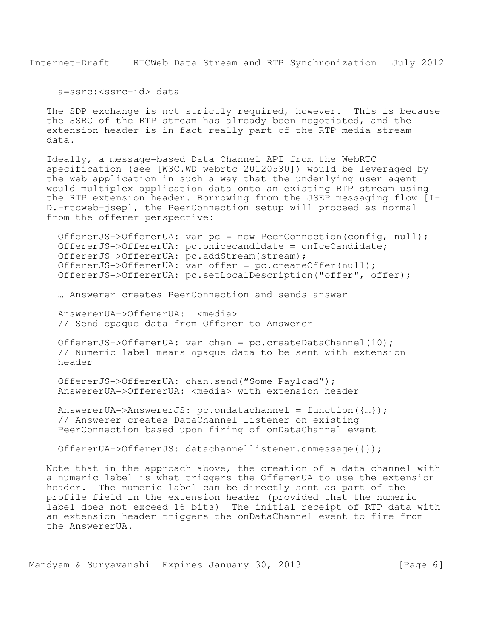a=ssrc:<ssrc-id> data

The SDP exchange is not strictly required, however. This is because the SSRC of the RTP stream has already been negotiated, and the extension header is in fact really part of the RTP media stream data.

Ideally, a message-based Data Channel API from the WebRTC specification (see [W3C.WD-webrtc-20120530]) would be leveraged by the web application in such a way that the underlying user agent would multiplex application data onto an existing RTP stream using the RTP extension header. Borrowing from the JSEP messaging flow [I-D.-rtcweb-jsep], the PeerConnection setup will proceed as normal from the offerer perspective:

OffererJS->OffererUA: var pc = new PeerConnection(config, null); OffererJS->OffererUA: pc.onicecandidate = onIceCandidate; OffererJS->OffererUA: pc.addStream(stream); OffererJS->OffererUA: var offer = pc.createOffer(null); OffererJS->OffererUA: pc.setLocalDescription("offer", offer);

… Answerer creates PeerConnection and sends answer

AnswererUA->OffererUA: <media> // Send opaque data from Offerer to Answerer

OffererJS->OffererUA: var chan = pc.createDataChannel(10); // Numeric label means opaque data to be sent with extension header

OffererJS->OffererUA: chan.send("Some Payload"); AnswererUA->OffererUA: <media> with extension header

AnswererUA->AnswererJS: pc.ondatachannel = function({…}); // Answerer creates DataChannel listener on existing PeerConnection based upon firing of onDataChannel event

OffererUA->OffererJS: datachannellistener.onmessage({});

Note that in the approach above, the creation of a data channel with a numeric label is what triggers the OffererUA to use the extension header. The numeric label can be directly sent as part of the profile field in the extension header (provided that the numeric label does not exceed 16 bits) The initial receipt of RTP data with an extension header triggers the onDataChannel event to fire from the AnswererUA.

Mandyam & Suryavanshi Expires January 30, 2013 [Page 6]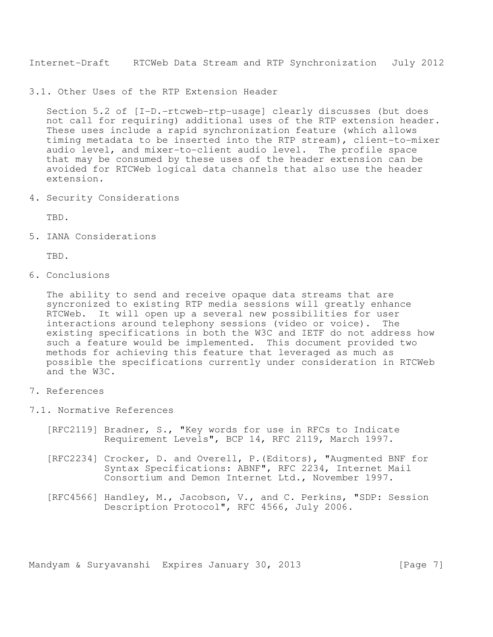3.1. Other Uses of the RTP Extension Header

Section 5.2 of [I-D.-rtcweb-rtp-usage] clearly discusses (but does not call for requiring) additional uses of the RTP extension header. These uses include a rapid synchronization feature (which allows timing metadata to be inserted into the RTP stream), client-to-mixer audio level, and mixer-to-client audio level. The profile space that may be consumed by these uses of the header extension can be avoided for RTCWeb logical data channels that also use the header extension.

4. Security Considerations

TBD.

5. IANA Considerations

TBD.

6. Conclusions

The ability to send and receive opaque data streams that are syncronized to existing RTP media sessions will greatly enhance RTCWeb. It will open up a several new possibilities for user interactions around telephony sessions (video or voice). The existing specifications in both the W3C and IETF do not address how such a feature would be implemented. This document provided two methods for achieving this feature that leveraged as much as possible the specifications currently under consideration in RTCWeb and the W3C.

- 7. References
- 7.1. Normative References
	- [RFC2119] Bradner, S., "Key words for use in RFCs to Indicate Requirement Levels", BCP 14, RFC 2119, March 1997.
	- [RFC2234] Crocker, D. and Overell, P.(Editors), "Augmented BNF for Syntax Specifications: ABNF", RFC 2234, Internet Mail Consortium and Demon Internet Ltd., November 1997.
	- [RFC4566] Handley, M., Jacobson, V., and C. Perkins, "SDP: Session Description Protocol", RFC 4566, July 2006.

Mandyam & Suryavanshi Expires January 30, 2013 [Page 7]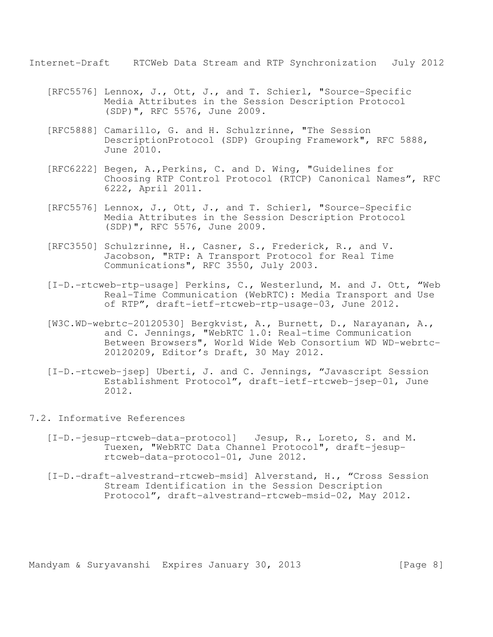- [RFC5576] Lennox, J., Ott, J., and T. Schierl, "Source-Specific Media Attributes in the Session Description Protocol (SDP)", RFC 5576, June 2009.
- [RFC5888] Camarillo, G. and H. Schulzrinne, "The Session DescriptionProtocol (SDP) Grouping Framework", RFC 5888, June 2010.
- [RFC6222] Begen, A.,Perkins, C. and D. Wing, "Guidelines for Choosing RTP Control Protocol (RTCP) Canonical Names", RFC 6222, April 2011.
- [RFC5576] Lennox, J., Ott, J., and T. Schierl, "Source-Specific Media Attributes in the Session Description Protocol (SDP)", RFC 5576, June 2009.
- [RFC3550] Schulzrinne, H., Casner, S., Frederick, R., and V. Jacobson, "RTP: A Transport Protocol for Real Time Communications", RFC 3550, July 2003.
- [I-D.-rtcweb-rtp-usage] Perkins, C., Westerlund, M. and J. Ott, "Web Real-Time Communication (WebRTC): Media Transport and Use of RTP", draft-ietf-rtcweb-rtp-usage-03, June 2012.
- [W3C.WD-webrtc-20120530] Bergkvist, A., Burnett, D., Narayanan, A., and C. Jennings, "WebRTC 1.0: Real-time Communication Between Browsers", World Wide Web Consortium WD WD-webrtc-20120209, Editor's Draft, 30 May 2012.
- [I-D.-rtcweb-jsep] Uberti, J. and C. Jennings, "Javascript Session Establishment Protocol", draft-ietf-rtcweb-jsep-01, June 2012.

#### 7.2. Informative References

- [I-D.-jesup-rtcweb-data-protocol] Jesup, R., Loreto, S. and M. Tuexen, "WebRTC Data Channel Protocol", draft-jesuprtcweb-data-protocol-01, June 2012.
- [I-D.-draft-alvestrand-rtcweb-msid] Alverstand, H., "Cross Session Stream Identification in the Session Description Protocol", draft-alvestrand-rtcweb-msid-02, May 2012.

Mandyam & Suryavanshi Expires January 30, 2013 [Page 8]